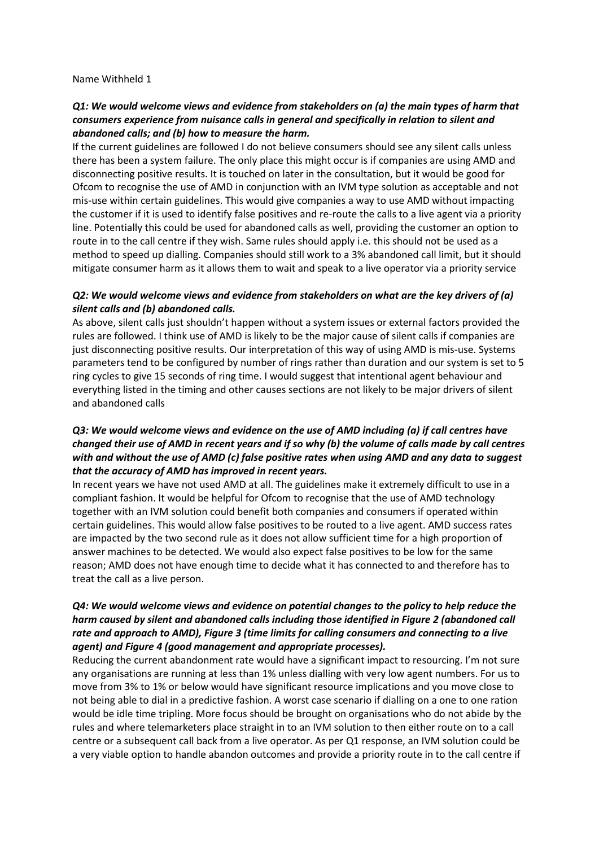Name Withheld 1

#### *Q1: We would welcome views and evidence from stakeholders on (a) the main types of harm that consumers experience from nuisance calls in general and specifically in relation to silent and abandoned calls; and (b) how to measure the harm.*

If the current guidelines are followed I do not believe consumers should see any silent calls unless there has been a system failure. The only place this might occur is if companies are using AMD and disconnecting positive results. It is touched on later in the consultation, but it would be good for Ofcom to recognise the use of AMD in conjunction with an IVM type solution as acceptable and not mis-use within certain guidelines. This would give companies a way to use AMD without impacting the customer if it is used to identify false positives and re-route the calls to a live agent via a priority line. Potentially this could be used for abandoned calls as well, providing the customer an option to route in to the call centre if they wish. Same rules should apply i.e. this should not be used as a method to speed up dialling. Companies should still work to a 3% abandoned call limit, but it should mitigate consumer harm as it allows them to wait and speak to a live operator via a priority service

#### *Q2: We would welcome views and evidence from stakeholders on what are the key drivers of (a) silent calls and (b) abandoned calls.*

As above, silent calls just shouldn't happen without a system issues or external factors provided the rules are followed. I think use of AMD is likely to be the major cause of silent calls if companies are just disconnecting positive results. Our interpretation of this way of using AMD is mis-use. Systems parameters tend to be configured by number of rings rather than duration and our system is set to 5 ring cycles to give 15 seconds of ring time. I would suggest that intentional agent behaviour and everything listed in the timing and other causes sections are not likely to be major drivers of silent and abandoned calls

## *Q3: We would welcome views and evidence on the use of AMD including (a) if call centres have changed their use of AMD in recent years and if so why (b) the volume of calls made by call centres with and without the use of AMD (c) false positive rates when using AMD and any data to suggest that the accuracy of AMD has improved in recent years.*

In recent years we have not used AMD at all. The guidelines make it extremely difficult to use in a compliant fashion. It would be helpful for Ofcom to recognise that the use of AMD technology together with an IVM solution could benefit both companies and consumers if operated within certain guidelines. This would allow false positives to be routed to a live agent. AMD success rates are impacted by the two second rule as it does not allow sufficient time for a high proportion of answer machines to be detected. We would also expect false positives to be low for the same reason; AMD does not have enough time to decide what it has connected to and therefore has to treat the call as a live person.

#### *Q4: We would welcome views and evidence on potential changes to the policy to help reduce the harm caused by silent and abandoned calls including those identified in Figure 2 (abandoned call rate and approach to AMD), Figure 3 (time limits for calling consumers and connecting to a live agent) and Figure 4 (good management and appropriate processes).*

Reducing the current abandonment rate would have a significant impact to resourcing. I'm not sure any organisations are running at less than 1% unless dialling with very low agent numbers. For us to move from 3% to 1% or below would have significant resource implications and you move close to not being able to dial in a predictive fashion. A worst case scenario if dialling on a one to one ration would be idle time tripling. More focus should be brought on organisations who do not abide by the rules and where telemarketers place straight in to an IVM solution to then either route on to a call centre or a subsequent call back from a live operator. As per Q1 response, an IVM solution could be a very viable option to handle abandon outcomes and provide a priority route in to the call centre if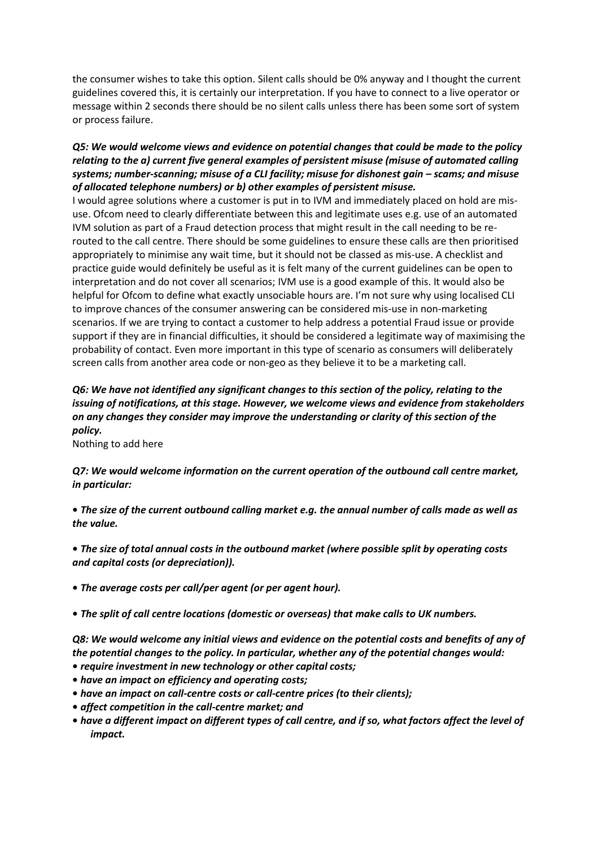the consumer wishes to take this option. Silent calls should be 0% anyway and I thought the current guidelines covered this, it is certainly our interpretation. If you have to connect to a live operator or message within 2 seconds there should be no silent calls unless there has been some sort of system or process failure.

## *Q5: We would welcome views and evidence on potential changes that could be made to the policy relating to the a) current five general examples of persistent misuse (misuse of automated calling systems; number-scanning; misuse of a CLI facility; misuse for dishonest gain – scams; and misuse of allocated telephone numbers) or b) other examples of persistent misuse.*

I would agree solutions where a customer is put in to IVM and immediately placed on hold are misuse. Ofcom need to clearly differentiate between this and legitimate uses e.g. use of an automated IVM solution as part of a Fraud detection process that might result in the call needing to be rerouted to the call centre. There should be some guidelines to ensure these calls are then prioritised appropriately to minimise any wait time, but it should not be classed as mis-use. A checklist and practice guide would definitely be useful as it is felt many of the current guidelines can be open to interpretation and do not cover all scenarios; IVM use is a good example of this. It would also be helpful for Ofcom to define what exactly unsociable hours are. I'm not sure why using localised CLI to improve chances of the consumer answering can be considered mis-use in non-marketing scenarios. If we are trying to contact a customer to help address a potential Fraud issue or provide support if they are in financial difficulties, it should be considered a legitimate way of maximising the probability of contact. Even more important in this type of scenario as consumers will deliberately screen calls from another area code or non-geo as they believe it to be a marketing call.

# *Q6: We have not identified any significant changes to this section of the policy, relating to the issuing of notifications, at this stage. However, we welcome views and evidence from stakeholders on any changes they consider may improve the understanding or clarity of this section of the policy.*

Nothing to add here

## *Q7: We would welcome information on the current operation of the outbound call centre market, in particular:*

**•** *The size of the current outbound calling market e.g. the annual number of calls made as well as the value.* 

**•** *The size of total annual costs in the outbound market (where possible split by operating costs and capital costs (or depreciation)).* 

- *The average costs per call/per agent (or per agent hour).*
- *The split of call centre locations (domestic or overseas) that make calls to UK numbers.*

*Q8: We would welcome any initial views and evidence on the potential costs and benefits of any of the potential changes to the policy. In particular, whether any of the potential changes would:*  **•** *require investment in new technology or other capital costs;* 

- *have an impact on efficiency and operating costs;*
- *have an impact on call-centre costs or call-centre prices (to their clients);*
- *affect competition in the call-centre market; and*
- *have a different impact on different types of call centre, and if so, what factors affect the level of impact.*